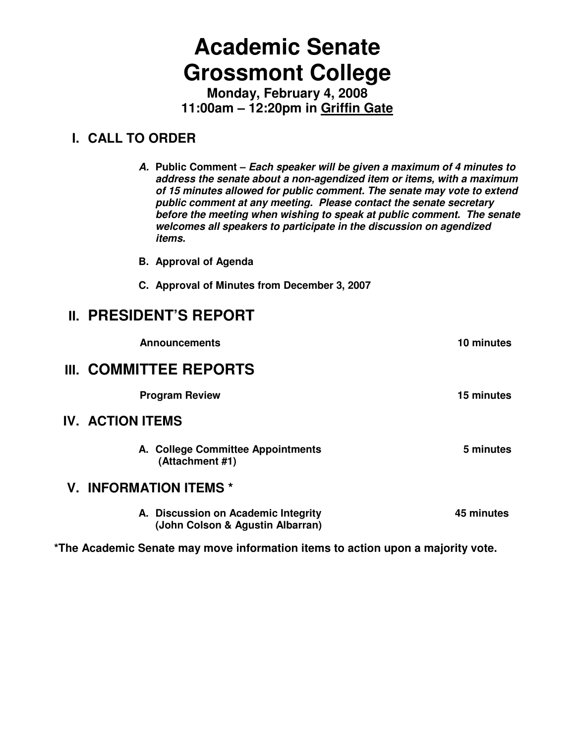# **Academic Senate Grossmont College**

**Monday, February 4, 2008 11:00am – 12:20pm in Griffin Gate**

## **I. CALL TO ORDER**

**A. Public Comment – Each speaker will be given a maximum of 4 minutes to address the senate about a non-agendized item or items, with a maximum of 15 minutes allowed for public comment. The senate may vote to extend public comment at any meeting. Please contact the senate secretary before the meeting when wishing to speak at public comment. The senate welcomes all speakers to participate in the discussion on agendized items.** 

- **B. Approval of Agenda**
- **C. Approval of Minutes from December 3, 2007**

## **II. PRESIDENT'S REPORT**

| <b>Announcements</b>                                                    | 10 minutes |
|-------------------------------------------------------------------------|------------|
| <b>III. COMMITTEE REPORTS</b>                                           |            |
| <b>Program Review</b>                                                   | 15 minutes |
| <b>IV. ACTION ITEMS</b>                                                 |            |
| A. College Committee Appointments<br>(Attachment #1)                    | 5 minutes  |
| <b>V. INFORMATION ITEMS *</b>                                           |            |
| A. Discussion on Academic Integrity<br>(John Colson & Agustin Albarran) | 45 minutes |

**\*The Academic Senate may move information items to action upon a majority vote.**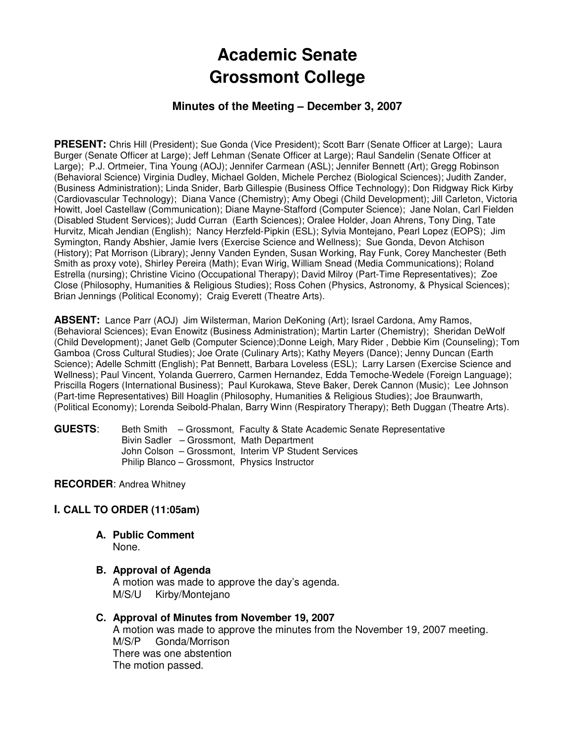## **Academic Senate Grossmont College**

#### **Minutes of the Meeting – December 3, 2007**

PRESENT: Chris Hill (President); Sue Gonda (Vice President); Scott Barr (Senate Officer at Large); Laura Burger (Senate Officer at Large); Jeff Lehman (Senate Officer at Large); Raul Sandelin (Senate Officer at Large); P.J. Ortmeier, Tina Young (AOJ); Jennifer Carmean (ASL); Jennifer Bennett (Art); Gregg Robinson (Behavioral Science) Virginia Dudley, Michael Golden, Michele Perchez (Biological Sciences); Judith Zander, (Business Administration); Linda Snider, Barb Gillespie (Business Office Technology); Don Ridgway Rick Kirby (Cardiovascular Technology); Diana Vance (Chemistry); Amy Obegi (Child Development); Jill Carleton, Victoria Howitt, Joel Castellaw (Communication); Diane Mayne-Stafford (Computer Science); Jane Nolan, Carl Fielden (Disabled Student Services); Judd Curran (Earth Sciences); Oralee Holder, Joan Ahrens, Tony Ding, Tate Hurvitz, Micah Jendian (English); Nancy Herzfeld-Pipkin (ESL); Sylvia Montejano, Pearl Lopez (EOPS); Jim Symington, Randy Abshier, Jamie Ivers (Exercise Science and Wellness); Sue Gonda, Devon Atchison (History); Pat Morrison (Library); Jenny Vanden Eynden, Susan Working, Ray Funk, Corey Manchester (Beth Smith as proxy vote), Shirley Pereira (Math); Evan Wirig, William Snead (Media Communications); Roland Estrella (nursing); Christine Vicino (Occupational Therapy); David Milroy (Part-Time Representatives); Zoe Close (Philosophy, Humanities & Religious Studies); Ross Cohen (Physics, Astronomy, & Physical Sciences); Brian Jennings (Political Economy); Craig Everett (Theatre Arts).

**ABSENT:** Lance Parr (AOJ) Jim Wilsterman, Marion DeKoning (Art); Israel Cardona, Amy Ramos, (Behavioral Sciences); Evan Enowitz (Business Administration); Martin Larter (Chemistry); Sheridan DeWolf (Child Development); Janet Gelb (Computer Science);Donne Leigh, Mary Rider , Debbie Kim (Counseling); Tom Gamboa (Cross Cultural Studies); Joe Orate (Culinary Arts); Kathy Meyers (Dance); Jenny Duncan (Earth Science); Adelle Schmitt (English); Pat Bennett, Barbara Loveless (ESL); Larry Larsen (Exercise Science and Wellness); Paul Vincent, Yolanda Guerrero, Carmen Hernandez, Edda Temoche-Wedele (Foreign Language); Priscilla Rogers (International Business); Paul Kurokawa, Steve Baker, Derek Cannon (Music); Lee Johnson (Part-time Representatives) Bill Hoaglin (Philosophy, Humanities & Religious Studies); Joe Braunwarth, (Political Economy); Lorenda Seibold-Phalan, Barry Winn (Respiratory Therapy); Beth Duggan (Theatre Arts).

**GUESTS**: Beth Smith – Grossmont, Faculty & State Academic Senate Representative Bivin Sadler – Grossmont, Math Department John Colson – Grossmont, Interim VP Student Services Philip Blanco – Grossmont, Physics Instructor

#### **RECORDER**: Andrea Whitney

#### **I. CALL TO ORDER (11:05am)**

**A. Public Comment** 

None.

**B. Approval of Agenda**  A motion was made to approve the day's agenda. M/S/U Kirby/Montejano

#### **C. Approval of Minutes from November 19, 2007**  A motion was made to approve the minutes from the November 19, 2007 meeting. M/S/P Gonda/Morrison There was one abstention The motion passed.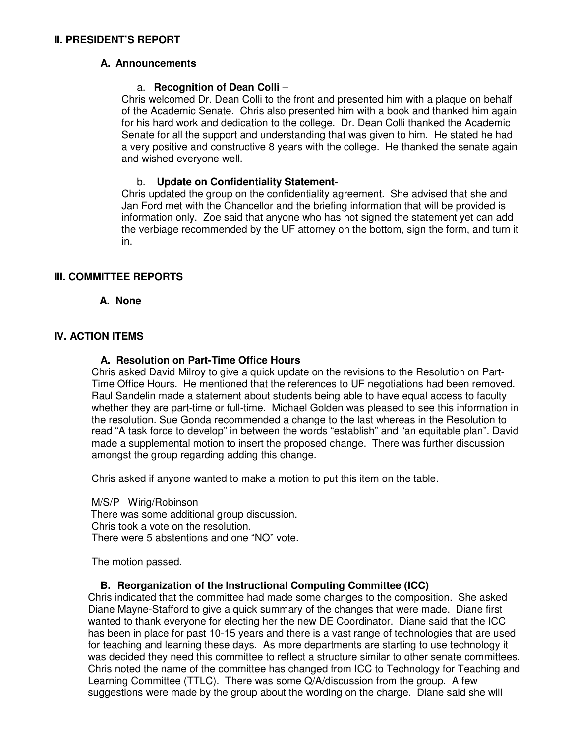#### **A. Announcements**

#### a. **Recognition of Dean Colli** –

Chris welcomed Dr. Dean Colli to the front and presented him with a plaque on behalf of the Academic Senate. Chris also presented him with a book and thanked him again for his hard work and dedication to the college. Dr. Dean Colli thanked the Academic Senate for all the support and understanding that was given to him. He stated he had a very positive and constructive 8 years with the college. He thanked the senate again and wished everyone well.

#### b. **Update on Confidentiality Statement**-

Chris updated the group on the confidentiality agreement. She advised that she and Jan Ford met with the Chancellor and the briefing information that will be provided is information only. Zoe said that anyone who has not signed the statement yet can add the verbiage recommended by the UF attorney on the bottom, sign the form, and turn it in.

#### **III. COMMITTEE REPORTS**

 **A. None** 

#### **IV. ACTION ITEMS**

#### **A. Resolution on Part-Time Office Hours**

Chris asked David Milroy to give a quick update on the revisions to the Resolution on Part-Time Office Hours. He mentioned that the references to UF negotiations had been removed. Raul Sandelin made a statement about students being able to have equal access to faculty whether they are part-time or full-time. Michael Golden was pleased to see this information in the resolution. Sue Gonda recommended a change to the last whereas in the Resolution to read "A task force to develop" in between the words "establish" and "an equitable plan". David made a supplemental motion to insert the proposed change. There was further discussion amongst the group regarding adding this change.

Chris asked if anyone wanted to make a motion to put this item on the table.

M/S/P Wirig/Robinson There was some additional group discussion. Chris took a vote on the resolution. There were 5 abstentions and one "NO" vote.

The motion passed.

#### **B. Reorganization of the Instructional Computing Committee (ICC)**

Chris indicated that the committee had made some changes to the composition. She asked Diane Mayne-Stafford to give a quick summary of the changes that were made. Diane first wanted to thank everyone for electing her the new DE Coordinator. Diane said that the ICC has been in place for past 10-15 years and there is a vast range of technologies that are used for teaching and learning these days. As more departments are starting to use technology it was decided they need this committee to reflect a structure similar to other senate committees. Chris noted the name of the committee has changed from ICC to Technology for Teaching and Learning Committee (TTLC). There was some Q/A/discussion from the group. A few suggestions were made by the group about the wording on the charge. Diane said she will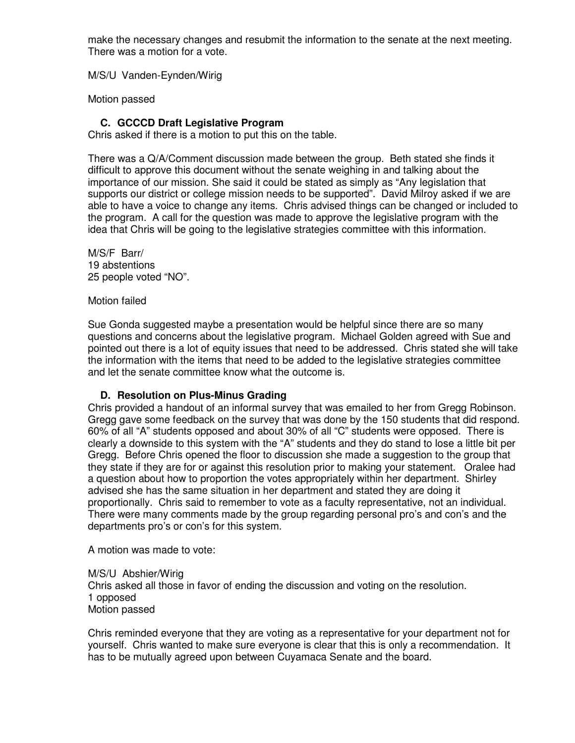make the necessary changes and resubmit the information to the senate at the next meeting. There was a motion for a vote.

M/S/U Vanden-Eynden/Wirig

Motion passed

#### **C. GCCCD Draft Legislative Program**

Chris asked if there is a motion to put this on the table.

There was a Q/A/Comment discussion made between the group. Beth stated she finds it difficult to approve this document without the senate weighing in and talking about the importance of our mission. She said it could be stated as simply as "Any legislation that supports our district or college mission needs to be supported". David Milroy asked if we are able to have a voice to change any items. Chris advised things can be changed or included to the program. A call for the question was made to approve the legislative program with the idea that Chris will be going to the legislative strategies committee with this information.

M/S/F Barr/ 19 abstentions 25 people voted "NO".

Motion failed

Sue Gonda suggested maybe a presentation would be helpful since there are so many questions and concerns about the legislative program. Michael Golden agreed with Sue and pointed out there is a lot of equity issues that need to be addressed. Chris stated she will take the information with the items that need to be added to the legislative strategies committee and let the senate committee know what the outcome is.

#### **D. Resolution on Plus-Minus Grading**

Chris provided a handout of an informal survey that was emailed to her from Gregg Robinson. Gregg gave some feedback on the survey that was done by the 150 students that did respond. 60% of all "A" students opposed and about 30% of all "C" students were opposed. There is clearly a downside to this system with the "A" students and they do stand to lose a little bit per Gregg. Before Chris opened the floor to discussion she made a suggestion to the group that they state if they are for or against this resolution prior to making your statement. Oralee had a question about how to proportion the votes appropriately within her department. Shirley advised she has the same situation in her department and stated they are doing it proportionally. Chris said to remember to vote as a faculty representative, not an individual. There were many comments made by the group regarding personal pro's and con's and the departments pro's or con's for this system.

A motion was made to vote:

M/S/U Abshier/Wirig Chris asked all those in favor of ending the discussion and voting on the resolution. 1 opposed Motion passed

Chris reminded everyone that they are voting as a representative for your department not for yourself. Chris wanted to make sure everyone is clear that this is only a recommendation. It has to be mutually agreed upon between Cuyamaca Senate and the board.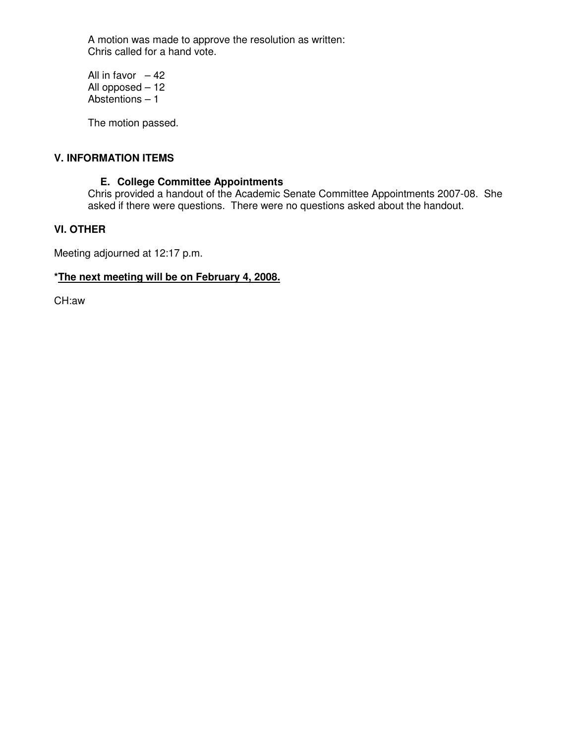A motion was made to approve the resolution as written: Chris called for a hand vote.

All in favor  $-42$ All opposed – 12 Abstentions – 1

The motion passed.

#### **V. INFORMATION ITEMS**

#### **E. College Committee Appointments**

Chris provided a handout of the Academic Senate Committee Appointments 2007-08. She asked if there were questions. There were no questions asked about the handout.

#### **VI. OTHER**

Meeting adjourned at 12:17 p.m.

#### **\*The next meeting will be on February 4, 2008.**

CH:aw